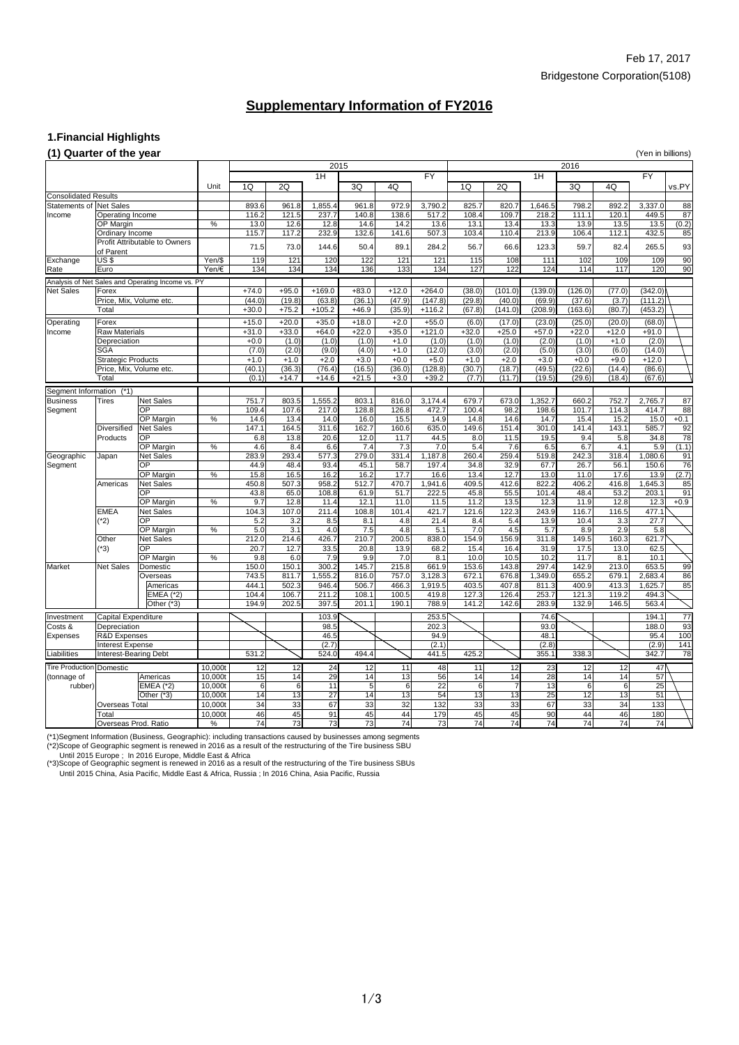### **1.Financial Highlights**

### **(1) Quarter of the year** (Yen in billions)

| $(1)$ denotes the model of $(1)$                              |                                             |                                                   |                          |                |                  | 2015             |                  |                |                  |                |                |                  | 2016            |                   |                  |                 |
|---------------------------------------------------------------|---------------------------------------------|---------------------------------------------------|--------------------------|----------------|------------------|------------------|------------------|----------------|------------------|----------------|----------------|------------------|-----------------|-------------------|------------------|-----------------|
|                                                               |                                             |                                                   |                          |                |                  | 1H               |                  |                | <b>FY</b>        |                |                | 1H               |                 |                   | <b>FY</b>        |                 |
|                                                               |                                             |                                                   |                          |                |                  |                  |                  |                |                  |                |                |                  |                 |                   |                  |                 |
|                                                               |                                             |                                                   | Unit                     | 1Q             | 2Q               |                  | 3Q               | 4Q             |                  | 1Q             | 2Q             |                  | 3Q              | 4Q                |                  | vs.PY           |
| <b>Consolidated Results</b><br><b>Statements of Net Sales</b> |                                             |                                                   |                          |                |                  |                  | 961.8            |                |                  | 825.7          |                | 1,646.5          |                 |                   |                  |                 |
| Income                                                        |                                             |                                                   |                          | 893.6<br>116.2 | 961.8<br>121.5   | 1,855.4<br>237.7 | 140.8            | 972.9<br>138.6 | 3,790.2<br>517.2 | 108.4          | 820.7<br>109.7 | 218.2            | 798.2<br>111.1  | 892.2<br>120.1    | 3,337.0<br>449.5 | 88<br>87        |
|                                                               | Operating Income<br><b>OP Margin</b>        |                                                   | %                        | 13.0           | 12.6             | 12.8             | 14.6             | 14.2           | 13.6             | 13.1           | 13.4           | 13.3             | 13.9            | 13.5              | 13.5             | (0.2)           |
|                                                               | Ordinary Income                             |                                                   |                          | 115.7          | 117.2            | 232.9            | 132.6            | 141.6          | 507.3            | 103.4          | 110.4          | 213.9            | 106.4           | 112.1             | 432.5            | 85              |
|                                                               | <b>Profit Attributable to Owners</b>        |                                                   |                          |                |                  |                  |                  |                |                  |                |                |                  |                 |                   |                  |                 |
|                                                               | of Parent                                   |                                                   |                          | 71.5           | 73.0             | 144.6            | 50.4             | 89.1           | 284.2            | 56.7           | 66.6           | 123.3            | 59.7            | 82.4              | 265.5            | 93              |
| Exchange                                                      | US\$                                        |                                                   | Yen/\$                   | 119            | 121              | 120              | 122              | 121            | 121              | 115            | 108            | 111              | 102             | 109               | 109              | 90              |
| Rate                                                          | Euro                                        |                                                   | Yen/ $\varepsilon$       | 134            | 134              | 134              | 136              | 133            | 134              | 127            | 122            | 124              | 114             | 117               | 120              | 90              |
|                                                               |                                             | Analysis of Net Sales and Operating Income vs. PY |                          |                |                  |                  |                  |                |                  |                |                |                  |                 |                   |                  |                 |
| <b>Net Sales</b>                                              | Forex                                       |                                                   |                          | $+74.0$        | $+95.0$          | $+169.0$         | $+83.0$          | $+12.0$        | $+264.0$         | (38.0)         | (101.0)        | (139.0)          | (126.0)         | (77.0)            | (342.0)          |                 |
|                                                               | Price, Mix, Volume etc.                     |                                                   |                          | (44.0)         | (19.8)           | (63.8)           | (36.1)           | (47.9)         | (147.8)          | (29.8)         | (40.0)         | (69.9)           | (37.6)          | (3.7)             | (111.2)          |                 |
|                                                               | Total                                       |                                                   |                          | $+30.0$        | $+75.2$          | $+105.2$         | $+46.9$          | (35.9)         | $+116.2$         | (67.8)         | (141.0)        | (208.9)          | (163.6)         | (80.7)            | (453.2)          |                 |
|                                                               | Forex                                       |                                                   |                          | $+15.0$        | $+20.0$          | $+35.0$          | $+18.0$          | $+2.0$         | $+55.0$          | (6.0)          | (17.0)         | (23.0)           | (25.0)          |                   | (68.0)           |                 |
| Operating<br>Income                                           | <b>Raw Materials</b>                        |                                                   |                          | $+31.0$        | $+33.0$          | $+64.0$          | $+22.0$          | $+35.0$        | $+121.0$         | $+32.0$        | $+25.0$        | $+57.0$          | $+22.0$         | (20.0)<br>$+12.0$ | $+91.0$          |                 |
|                                                               | Depreciation                                |                                                   |                          | $+0.0$         | (1.0)            | (1.0)            | (1.0)            | $+1.0$         | (1.0)            | (1.0)          | (1.0)          | (2.0)            | (1.0)           | $+1.0$            | (2.0)            |                 |
|                                                               | <b>SGA</b>                                  |                                                   |                          | (7.0)          | (2.0)            | (9.0)            | (4.0)            | $+1.0$         | (12.0)           | (3.0)          | (2.0)          | (5.0)            | (3.0)           | (6.0)             | (14.0)           |                 |
|                                                               | <b>Strategic Products</b>                   |                                                   |                          | $+1.0$         | $+1.0$           | $+2.0$           | $+3.0$           | $+0.0$         | $+5.0$           | $+1.0$         | $+2.0$         | $+3.0$           | $+0.0$          | $+9.0$            | $+12.0$          |                 |
|                                                               | Price, Mix, Volume etc.                     |                                                   |                          | (40.1)         | (36.3)           | (76.4)           | (16.5)           | (36.0)         | (128.8)          | (30.7)         | (18.7)         | (49.5)           | (22.6)          | (14.4)            | (86.6)           |                 |
|                                                               | Total                                       |                                                   |                          | (0.1)          | $+14.7$          | $+14.6$          | $+21.5$          | $+3.0$         | $+39.2$          | (7.7)          | (11.7)         | (19.5)           | (29.6)          | (18.4)            | (67.6)           |                 |
|                                                               |                                             |                                                   |                          |                |                  |                  |                  |                |                  |                |                |                  |                 |                   |                  |                 |
| Segment Information<br><b>Business</b>                        | $(*1)$<br>Tires                             | Net Sales                                         |                          | 751.7          | 803.5            | 1,555.2          | 803.1            | 816.0          | 3,174.4          | 679.7          | 673.0          | ,352.7           | 660.2           | 752.7             | 2,765.7          | 87              |
| Segment                                                       |                                             | $\overline{OP}$                                   |                          | 109.4          | 107.6            | 217.0            | 128.8            | 126.8          | 472.7            | 100.4          | 98.2           | 198.6            | 101.7           | 114.3             | 414.7            | 88              |
|                                                               |                                             | <b>OP Margin</b>                                  | $\%$                     | 14.6           | 13.4             | 14.0             | 16.0             | 15.5           | 14.9             | 14.8           | 14.6           | 14.7             | 15.4            | 15.2              | 15.0             | $+0.1$          |
|                                                               | <b>Diversified</b>                          | Net Sales                                         |                          | 147.1          | 164.5            | 311.6            | 162.7            | 160.6          | 635.0            | 149.6          | 151.4          | 301.0            | 141.4           | 143.1             | 585.7            | 92              |
|                                                               | Products                                    | <b>OP</b>                                         |                          | 6.8            | 13.8             | 20.6             | 12.0             | 11.7           | 44.5             | 8.0            | 11.5           | 19.5             | 9.4             | 5.8               | 34.8             | 78              |
|                                                               |                                             | <b>OP Margin</b>                                  | $\%$                     | 4.6            | 8.4              | 6.6              | 7.4              | 7.3            | 7.0              | 5.4            | 7.6            | 6.5              | 6.7             | 4.1               | 5.9              | (1.1)           |
| Geographic                                                    | Japan                                       | Net Sales                                         |                          | 283.9          | 293.4            | 577.3            | 279.0            | 331.4          | 1,187.8          | 260.4          | 259.4          | 519.8            | 242.3           | 318.4             | 1,080.6          | 91              |
| Segment                                                       |                                             | <b>OP</b>                                         |                          | 44.9           | 48.4             | 93.4             | 45.1             | 58.7           | 197.4            | 34.8           | 32.9           | 67.7             | 26.7            | 56.1              | 150.6            | 76              |
|                                                               |                                             | <b>OP Margin</b>                                  | $\%$                     | 15.8           | 16.5             | 16.2             | 16.2             | 17.7           | 16.6             | 13.4           | 12.7           | 13.0             | 11.0            | 17.6              | 13.9             | (2.7)           |
|                                                               | Americas                                    | <b>Net Sales</b>                                  |                          | 450.8          | 507.3            | 958.2            | 512.7            | 470.7          | 1,941.6          | 409.5          | 412.6          | 822.2            | 406.2           | 416.8             | 1,645.3          | 85              |
|                                                               |                                             | <b>OP</b>                                         |                          | 43.8           | 65.0             | 108.8            | 61.9             | 51.7           | 222.5            | 45.8           | 55.5           | 101.4            | 48.4            | 53.2              | 203.1            | 91              |
|                                                               |                                             | <b>OP Margin</b>                                  | %                        | 9.7            | 12.8             | 11.4             | 12.1             | 11.0           | 11.5             | 11.2           | 13.5           | 12.3             | 11.9            | 12.8              | 12.3             | $+0.9$          |
|                                                               | <b>EMEA</b>                                 | Net Sales                                         |                          | 104.3          | 107.0            | 211.4            | 108.8            | 101.4          | 421.7            | 121.6          | 122.3          | 243.9            | 116.7           | 116.5             | 477.1            |                 |
|                                                               | $(*2)$                                      | $\overline{OP}$                                   |                          | 5.2            | 3.2              | 8.5              | 8.1              | 4.8            | 21.4             | 8.4            | 5.4            | 13.9             | 10.4            | 3.3               | 27.7             |                 |
|                                                               |                                             | <b>OP Margin</b>                                  | $\overline{\frac{9}{6}}$ | 5.0            | $\overline{3.1}$ | 4.0              | $\overline{7.5}$ | 4.8            | 5.1              | 7.0            | 4.5            | $\overline{5.7}$ | 8.9             | 2.9               | 5.8              |                 |
|                                                               | Other                                       | Net Sales                                         |                          | 212.0          | 214.6            | 426.7            | 210.7            | 200.5          | 838.0            | 154.9          | 156.9          | 311.8            | 149.5           | 160.3             | 621.7            |                 |
|                                                               | $(*3)$                                      | <b>OP</b>                                         |                          | 20.7           | 12.7             | 33.5             | 20.8             | 13.9           | 68.2             | 15.4           | 16.4           | 31.9             | 17.5            | 13.0              | 62.5             |                 |
|                                                               |                                             | <b>OP Margin</b>                                  | %                        | 9.8            | 6.0              | 7.9              | 9.9              | 7.0            | 8.1              | 10.0           | 10.5           | 10.2             | 11.7            | 8.1               | 10.1             |                 |
| Market                                                        | <b>Net Sales</b>                            | Domestic<br>Overseas                              |                          | 150.0<br>743.5 | 150.1<br>811.7   | 300.2<br>1,555.2 | 145.7<br>816.0   | 215.8<br>757.0 | 661.9<br>3,128.3 | 153.6<br>672.1 | 143.8<br>676.8 | 297.4<br>,349.0  | 142.9<br>655.2  | 213.0<br>679.1    | 653.5<br>2,683.4 | 99<br>86        |
|                                                               |                                             | Americas                                          |                          | 444.1          | 502.3            | 946.4            | 506.7            | 466.3          | 1,919.5          | 403.5          | 407.8          | 811.3            | 400.9           | 413.3             | 1,625.7          | 85              |
|                                                               |                                             | <b>EMEA (*2)</b>                                  |                          | 104.4          | 106.7            | 211.2            | 108.1            | 100.5          | 419.8            | 127.3          | 126.4          | 253.7            | 121.3           | 119.2             | 494.3            |                 |
|                                                               |                                             | Other (*3)                                        |                          | 194.9          | 202.5            | 397.5            | 201.1            | 190.1          | 788.9            | 141.2          | 142.6          | 283.9            | 132.9           | 146.5             | 563.4            |                 |
|                                                               |                                             |                                                   |                          |                |                  |                  |                  |                |                  |                |                |                  |                 |                   |                  |                 |
| Investment                                                    | Capital Expenditure                         |                                                   |                          |                |                  | 103.9            |                  |                | 253.5            |                |                | 74.6             |                 |                   | 194.1            | $\overline{77}$ |
| Costs &                                                       | Depreciation                                |                                                   |                          |                |                  | 98.5             |                  |                | 202.3            |                |                | 93.0             |                 |                   | 188.0            | 93              |
| Expenses                                                      | <b>R&amp;D Expenses</b><br>Interest Expense |                                                   |                          |                |                  | 46.5<br>(2.7)    |                  |                | 94.9<br>(2.1)    |                |                | 48.1<br>(2.8)    |                 |                   | 95.4<br>(2.9)    | 100<br>141      |
| Liabilities                                                   | Interest-Bearing Debt                       |                                                   |                          | 531.2          |                  | 524.0            | 494.4            |                | 441.5            | 425.2          |                | 355.1            | 338.3           |                   | 342.7            | 78              |
|                                                               |                                             |                                                   |                          |                |                  |                  |                  |                |                  |                |                |                  |                 |                   |                  |                 |
| Tire Production Domestic                                      |                                             |                                                   | 10,000t                  | 12             | 12               | 24               | 12               | 11             | 48               | 11             | 12             | 23               | 12              | 12                | 47               |                 |
| (tonnage of                                                   |                                             | Americas                                          | 10,000t                  | 15             | 14               | 29               | 14               | 13             | 56               | 14             | 14             | 28               | 14              | 14                | 57               |                 |
| rubber)                                                       |                                             | <b>EMEA</b> (*2)                                  | 10,000t                  | 6              | $6\blacksquare$  | $\overline{11}$  | 5                | $6 \mid$       | $\overline{22}$  | 6 <sup>1</sup> | $\overline{7}$ | $\overline{13}$  | 6               | $6 \mid$          | 25               |                 |
|                                                               |                                             | Other (*3)                                        | 10,000t                  | 14             | $\overline{13}$  | $\overline{27}$  | 14               | 13             | $\overline{54}$  | 13             | 13             | $\overline{25}$  | $\overline{12}$ | 13                | $\overline{51}$  |                 |
|                                                               | <b>Overseas Total</b>                       |                                                   | 10,000t                  | 34             | 33               | 67               | 33               | 32             | 132              | 33             | 33             | 67               | 33              | 34                | 133              |                 |
|                                                               | Total<br>Overseas Prod. Ratio               |                                                   | 10,000t                  | 46<br>74       | 45<br>73         | 91<br>73         | 45<br>73         | 44<br>74       | 179<br>73        | 45<br>74       | 45<br>74       | 90<br>74         | 44<br>74        | 46<br>74          | 180<br>74        |                 |
|                                                               |                                             |                                                   | $\%$                     |                |                  |                  |                  |                |                  |                |                |                  |                 |                   |                  |                 |

(\*1)Segment Information (Business, Geographic): including transactions caused by businesses among segments (\*2)Scope of Geographic segment is renewed in 2016 as a result of the restructuring of the Tire business SBU

Until 2015 Europe ; In 2016 Europe, Middle East & Africa

(\*3)Scope of Geographic segment is renewed in 2016 as a result of the restructuring of the Tire business SBUs

Until 2015 China, Asia Pacific, Middle East & Africa, Russia ; In 2016 China, Asia Pacific, Russia

# **Supplementary Information of FY2016**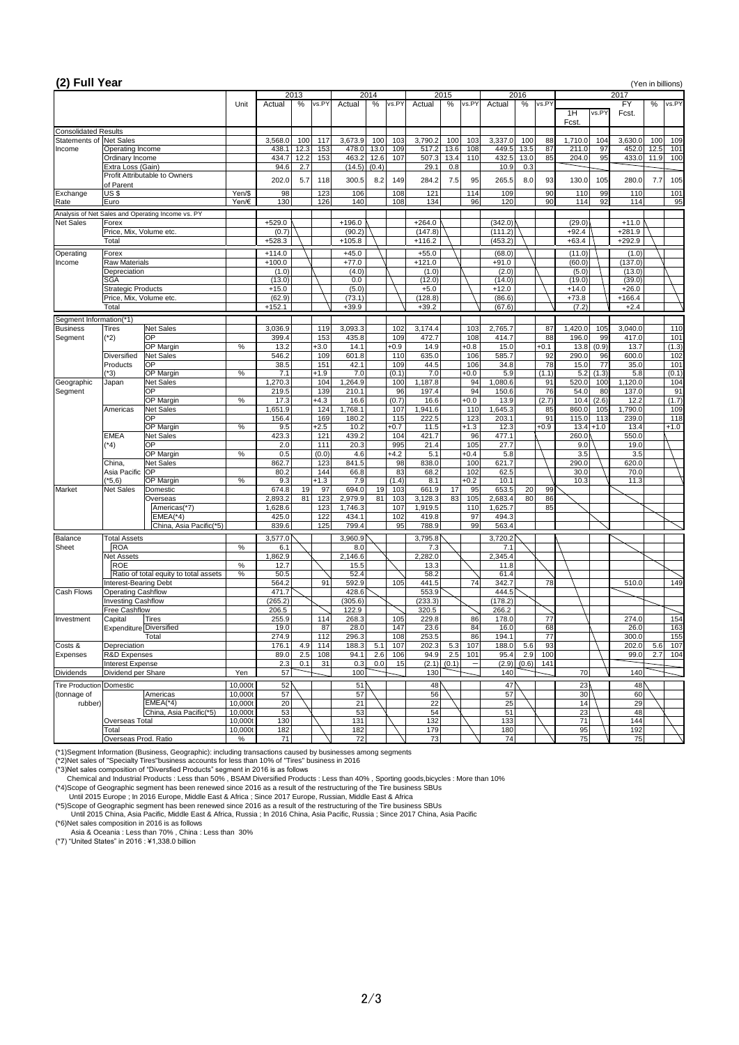## **(2) Full Year** (Yen in billions)

|                                |                                   |                                                   |         |                  | 2013        |               |                  | 2014          |                  | 2015        |               | 2016             |             |              |                 | 2017         |                    |      |              |
|--------------------------------|-----------------------------------|---------------------------------------------------|---------|------------------|-------------|---------------|------------------|---------------|------------------|-------------|---------------|------------------|-------------|--------------|-----------------|--------------|--------------------|------|--------------|
|                                |                                   |                                                   | Unit    | Actual           | $\%$        | vs.PY         | Actual           | $\%$<br>vs.PY | Actual           | %           | vs.PY         | Actual           | %           | vs.PY        | 1H<br>Fcst.     | vs.PY        | <b>FY</b><br>Fcst. | %    | vs.PY        |
| <b>Consolidated Results</b>    |                                   |                                                   |         |                  |             |               |                  |               |                  |             |               |                  |             |              |                 |              |                    |      |              |
| <b>Statements of Net Sales</b> |                                   |                                                   |         | 3,568.0          | 100         | 117           | 3,673.9          | 100<br>103    | 3,790.2          | 100         | 103           | 3,337.0          | 100         | 88           | 1,710.0         | 104          | 3,630.0            | 100  | 109          |
| Income                         | Operating Income                  |                                                   |         | 438.1            | 12.3        | 153           | 478.0            | 13.0<br>109   | 517.2            | 13.6        | 108           | 449.5            | 13.5        | 87           | 211.0           | 97           | 452.0              | 12.5 | 101          |
|                                | Ordinary Income                   |                                                   |         | 434.7<br>94.6    | 12.2<br>2.7 | 153           | 463.2            | 12.6<br>107   | 507.3<br>29.1    | 13.4<br>0.8 | 110           | 432.5<br>10.9    | 13.0<br>0.3 | 85           | 204.0           | 95           | 433.0              | 11.9 | 100          |
|                                | Extra Loss (Gain)                 | <b>Profit Attributable to Owners</b>              |         |                  |             |               | (14.5)           | (0.4)         |                  |             |               |                  |             |              |                 |              |                    |      |              |
|                                | of Parent                         |                                                   |         | 202.0            | 5.7         | 118           | 300.5            | 8.2<br>149    | 284.2            | 7.5         | 95            | 265.5            | 8.0         | 93           | 130.0           | 105          | 280.0              | 7.7  | 105          |
| Exchange                       | US\$                              |                                                   | Yen/\$  | 98               |             | 123           | 106              | 108           | 121              |             | 114           | 109              |             | 90           | 110             | 99           | 110                |      | 101          |
| Rate                           | Euro                              |                                                   | Yen/€   | 130              |             | 126           | 140              | 108           | 134              |             | 96            | 120              |             | 90           | 114             | 92           | 114                |      | 95           |
|                                |                                   | Analysis of Net Sales and Operating Income vs. PY |         |                  |             |               |                  |               |                  |             |               |                  |             |              |                 |              |                    |      |              |
| <b>Net Sales</b>               | Forex                             |                                                   |         | $+529.0$         |             |               | $+196.0$         |               | $+264.0$         |             |               | (342.0)          |             |              | (29.0)          |              | $+11.0$            |      |              |
|                                | Price, Mix, Volume etc.           |                                                   |         | (0.7)            |             |               | (90.2)           |               | (147.8)          |             |               | (111.2)          |             |              | $+92.4$         |              | $+281.9$           |      |              |
|                                | Total                             |                                                   |         | $+528.3$         |             |               | $+105.8$         |               | $+116.2$         |             |               | (453.2)          |             |              | $+63.4$         |              | $+292.9$           |      |              |
| Operating                      | Forex                             |                                                   |         | $+114.0$         |             |               | $+45.0$          |               | $+55.0$          |             |               | (68.0)           |             |              | (11.0)          |              | (1.0)              |      |              |
| Income                         | <b>Raw Materials</b>              |                                                   |         | $+100.0$         |             |               | $+77.0$          |               | $+121.0$         |             |               | $+91.0$          |             |              | (60.0)          |              | (137.0)            |      |              |
|                                | Depreciation                      |                                                   |         | (1.0)            |             |               | (4.0)            |               | (1.0)            |             |               | (2.0)            |             |              | (5.0)           |              | (13.0)             |      |              |
|                                | <b>SGA</b>                        |                                                   |         | (13.0)           |             |               | 0.0              |               | (12.0)           |             |               | (14.0)           |             |              | (19.0)          |              | (39.0)             |      |              |
|                                | <b>Strategic Products</b>         |                                                   |         | $+15.0$          |             |               | (5.0)            |               | $+5.0$           |             |               | $+12.0$          |             |              | $+14.0$         |              | $+26.0$            |      |              |
|                                | Price, Mix, Volume etc.           |                                                   |         | (62.9)           |             |               | (73.1)           |               | (128.8)          |             |               | (86.6)           |             |              | $+73.8$         |              | $+166.4$           |      |              |
|                                | Total                             |                                                   |         | $+152.1$         |             |               | $+39.9$          |               | $+39.2$          |             |               | (67.6)           |             |              | (7.2)           |              | $+2.4$             |      |              |
| Segment Information(*1)        |                                   |                                                   |         |                  |             |               |                  |               |                  |             |               |                  |             |              |                 |              |                    |      |              |
| <b>Business</b>                | <b>Tires</b>                      | Net Sales                                         |         | 3,036.9          |             | 119           | 3,093.3          | 102           | 3,174.4          |             | 103           | 2,765.7          |             | 87           | 1,420.0         | 105          | 3,040.0            |      | 110          |
| Segment                        | $(*2)$                            | <b>OP</b><br><b>OP Margin</b>                     |         | 399.4<br>13.2    |             | 153<br>$+3.0$ | 435.8<br>14.1    | 109           | 472.7<br>14.9    |             | 108<br>$+0.8$ | 414.7<br>15.0    |             | 88<br>$+0.1$ | 196.0           | 99           | 417.0<br>13.7      |      | 101          |
|                                | <b>Diversified</b>                | <b>Net Sales</b>                                  | %       | 546.2            |             | 109           | 601.8            | $+0.9$<br>110 | 635.0            |             | 106           | 585.7            |             | 92           | 13.8<br>290.0   | (0.9)<br>96  | 600.0              |      | (1.3)<br>102 |
|                                | Products                          | <b>OP</b>                                         |         | 38.5             |             | 151           | 42.1             | 109           | 44.5             |             | 106           | 34.8             |             | 78           | 15.0            | 77           | 35.0               |      | 101          |
|                                | $(*3)$                            | <b>OP Margin</b>                                  | $\%$    | 7.1              |             | $+1.9$        | 7.0              | (0.1)         | 7.0              |             | $+0.0$        | 5.9              |             | (1.1)        | 5.2             | (1.3)        | 5.8                |      | (0.1)        |
| Geographic                     | Japan                             | <b>Net Sales</b>                                  |         | ,270.3           |             | 104           | ,264.9           | 100           | 1,187.8          |             | 94            | 1,080.6          |             | 91           | 520.0           | 100          | 1,120.0            |      | 104          |
| Segment                        |                                   | <b>OP</b>                                         |         | 219.5            |             | 139           | 210.1            | 96            | 197.4            |             | 94            | 150.6            |             | 76           | 54.0            | 80           | 137.0              |      | 91           |
|                                |                                   | OP Margin                                         | $\%$    | 17.3             |             | $+4.3$        | 16.6             | (0.7)         | 16.6             |             | $+0.0$        | 13.9             |             | (2.7)        | 10.4            | (2.6)        | 12.2               |      | (1.7)        |
|                                | Americas                          | <b>Net Sales</b>                                  |         | ,651.9           |             | 124           | 1,768.1          | 107           | ,941.6           |             | 110           | ,645.3           |             | 85           | 860.0           | 105          | ,790.0             |      | 109          |
|                                |                                   | <b>OP</b>                                         |         | 156.4            |             | 169           | 180.2            | 115           | 222.5            |             | 123           | 203.1            |             | 91           | 115.0           | 113          | 239.0              |      | 118          |
|                                | <b>EMEA</b>                       | OP Margin<br><b>Net Sales</b>                     | $\%$    | 9.5<br>423.3     |             | $+2.5$<br>121 | 10.2<br>439.2    | $+0.7$<br>104 | 11.5<br>421.7    |             | $+1.3$<br>96  | 12.3<br>477.1    |             | $+0.9$       | 260.0           | $13.4 + 1.0$ | 13.4<br>550.0      |      | $+1.0$       |
|                                | $(*4)$                            | <b>OP</b>                                         |         | 2.0              |             | 111           | 20.3             | 995           | 21.4             |             | 105           | 27.7             |             |              | 9.0             |              | 19.0               |      |              |
|                                |                                   | <b>OP Margin</b>                                  | $\%$    | 0.5              |             | (0.0)         | 4.6              | $+4.2$        | 5.1              |             | $+0.4$        | 5.8              |             |              | 3.5             |              | 3.5                |      |              |
|                                | China,                            | <b>Net Sales</b>                                  |         | 862.7            |             | 123           | 841.5            | 98            | 838.0            |             | 100           | 621.7            |             |              | 290.0           |              | 620.0              |      |              |
|                                | Asia Pacific OP                   |                                                   |         | 80.2             |             | 144           | 66.8             | 83            | 68.2             |             | 102           | 62.5             |             |              | 30.0            |              | 70.0               |      |              |
|                                | $(*5,6)$                          | OP Margin                                         | $\%$    | 9.3              |             | $+1.3$        | 7.9              | (1.4)         | 8.1              |             | $+0.2$        | 10.1             |             |              | 10.3            |              | 11.3               |      |              |
| <b>Market</b>                  | <b>Net Sales</b>                  | Domestic                                          |         | 674.8            | 19          | 97            | 694.0            | 19<br>103     | 661.9            | 17          | 95            | 653.5            | 20          | 99           |                 |              |                    |      |              |
|                                |                                   | Overseas                                          |         | 2,893.2          | 81          | 123           | 2,979.9          | 81<br>103     | 3,128.3          | 83          | 105           | 2,683.4          | 80          | 86           |                 |              |                    |      |              |
|                                |                                   | Americas(*7)<br>$EMEA(*4)$                        |         | 1,628.6<br>425.0 |             | 123<br>122    | 1,746.3<br>434.1 | 107<br>102    | 1,919.5<br>419.8 |             | 110<br>97     | 1,625.7<br>494.3 |             | 85           |                 |              |                    |      |              |
|                                |                                   | China, Asia Pacific(*5)                           |         | 839.6            |             | 125           | 799.4            | 95            | 788.9            |             | 99            | 563.4            |             |              |                 |              |                    |      |              |
|                                |                                   |                                                   |         |                  |             |               |                  |               |                  |             |               |                  |             |              |                 |              |                    |      |              |
| Balance<br><b>Sheet</b>        | <b>Total Assets</b><br><b>ROA</b> |                                                   | $\%$    | 3,577.0<br>6.1   |             |               | 3,960.9<br>8.0   |               | 3,795.8<br>7.3   |             |               | 3,720.2<br>7.1   |             |              |                 |              |                    |      |              |
|                                | <b>Net Assets</b>                 |                                                   |         | ,862.9           |             |               | 2,146.6          |               | 2,282.0          |             |               | 2,345.4          |             |              |                 |              |                    |      |              |
|                                | <b>ROE</b>                        |                                                   | $\%$    | 12.7             |             |               | 15.5             |               | 13.3             |             |               | 11.8             |             |              |                 |              |                    |      |              |
|                                |                                   | Ratio of total equity to total assets             | $\%$    | 50.5             |             |               | 52.4             |               | 58.2             |             |               | 61.4             |             |              |                 |              |                    |      |              |
|                                | Interest-Bearing Debt             |                                                   |         | 564.2            |             | 91            | 592.9            | 105           | 441.5            |             | 74            | 342.7            |             | 78           |                 |              | 510.0              |      | 149          |
| <b>Cash Flows</b>              | <b>Operating Cashflow</b>         |                                                   |         | 471.7            |             |               | 428.6            |               | 553.9            |             |               | 444.5            |             |              |                 |              |                    |      |              |
|                                | <b>Investing Cashflow</b>         |                                                   |         | (265.2)          |             |               | (305.6)          |               | (233.3)          |             |               | (178.2)          |             |              |                 |              |                    |      |              |
|                                | <b>Free Cashflow</b>              |                                                   |         | 206.5            |             |               | 122.9            |               | 320.5            |             |               | 266.2            |             |              |                 |              |                    |      |              |
| Investment                     | Capital                           | <b>Tires</b><br>Expenditure Diversified           |         | 255.9<br>19.0    |             | 114<br>87     | 268.3<br>28.0    | 105<br>147    | 229.8<br>23.6    |             | 86<br>84      | 178.0<br>16.0    |             | 77<br>68     |                 |              | 274.0<br>26.0      |      | 154<br>163   |
|                                |                                   | <b>Total</b>                                      |         | 274.9            |             | 112           | 296.3            | 108           | 253.5            |             | 86            | 194.1            |             | 77           |                 |              | 300.0              |      | 155          |
| Costs &                        | Depreciation                      |                                                   |         | 176.1            | 4.9         | 114           | 188.3            | 5.1<br>107    | 202.3            | 5.3         | 107           | 188.0            | 5.6         | 93           |                 |              | 202.0              | 5.6  | 107          |
| <b>Expenses</b>                | <b>R&amp;D</b> Expenses           |                                                   |         | 89.0             | 2.5         | 108           | 94.1             | 2.6<br>106    | 94.9             | 2.5         | 101           | 95.4             | 2.9         | 100          |                 |              | 99.0               | 2.7  | 104          |
|                                | Interest Expense                  |                                                   |         | 2.3              | 0.1         | 31            | 0.3              | 15<br>0.0     | (2.1)            | (0.1)       |               | (2.9)            | (0.6)       | 141          |                 |              |                    |      |              |
| <b>Dividends</b>               | Dividend per Share                |                                                   | Yen     | 57 <sub>l</sub>  |             |               | 100              |               | 130              |             |               | 140              |             |              | 70              |              | 140                |      |              |
| Tire Production Domestic       |                                   |                                                   | 10,000t | 52               |             |               | 51               |               | 48               |             |               | 47               |             |              | 23 <sub>0</sub> |              | 48                 |      |              |
| (tonnage of                    |                                   | Americas                                          | 10,000t | 57               |             |               | 57               |               | 56               |             |               | 57               |             |              | 30              |              | 60                 |      |              |
| rubber)                        |                                   | $EMEA(*4)$                                        | 10,000t | 20 <sub>2</sub>  |             |               | 21               |               | 22               |             |               | 25               |             |              | 14              |              | 29                 |      |              |
|                                |                                   | China, Asia Pacific(*5)                           | 10,000t | 53               |             |               | 53               |               | 54               |             |               | 51               |             |              | 23              |              | 48                 |      |              |
|                                | <b>Overseas Total</b>             |                                                   | 10,000t | 130              |             |               | 131              |               | 132              |             |               | 133              |             |              | 71              |              | 144                |      |              |
|                                | Total                             |                                                   | 10,000t | 182              |             |               | 182              |               | 179              |             |               | 180              |             |              | 95              |              | 192                |      |              |
|                                | Overseas Prod. Ratio              |                                                   | %       | 71               |             |               | 72               |               | 73               |             |               | 74               |             |              | 75              |              | 75                 |      |              |

(\*1)Segment Information (Business, Geographic): including transactions caused by businesses among segments

(\*2)Net sales of "Specialty Tires"business accounts for less than 10% of "Tires" business in 2016

(\*3)Net sales composition of "Diversfied Products" segment in 2016 is as follows

Chemical and Industrial Products : Less than 50% , BSAM Diversified Products : Less than 40% , Sporting goods,bicycles : More than 10%

(\*4)Scope of Geographic segment has been renewed since 2016 as a result of the restructuring of the Tire business SBUs

Until 2015 Europe ; In 2016 Europe, Middle East & Africa ; Since 2017 Europe, Russian, Middle East & Africa

(\*5)Scope of Geographic segment has been renewed since 2016 as a result of the restructuring of the Tire business SBUs

Until 2015 China, Asia Pacific, Middle East & Africa, Russia ; In 2016 China, Asia Pacific, Russia ; Since 2017 China, Asia Pacific

(\*6)Net sales composition in 2016 is as follows

Asia & Oceania : Less than 70% , China : Less than 30%

(\*7) "United States" in 2016 : ¥1,338.0 billion